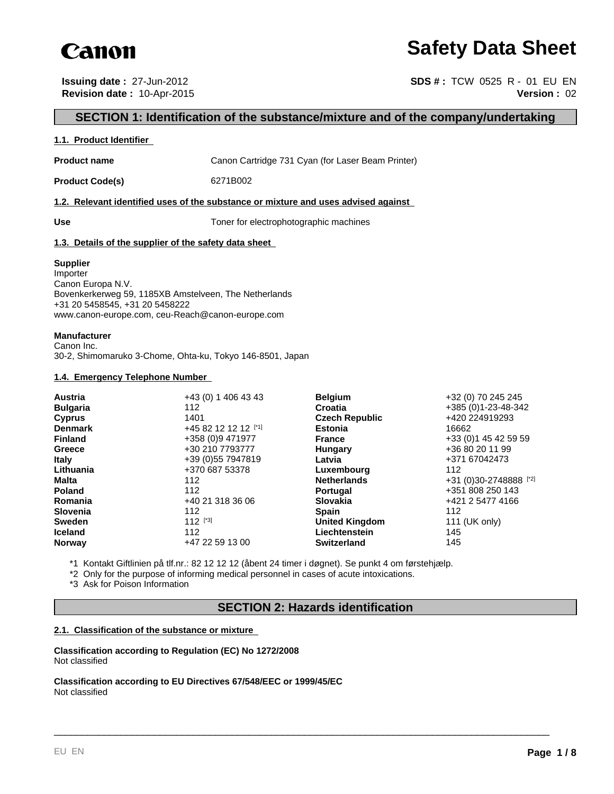

# **Safety Data Sheet**

**Issuing date :** 27-Jun-2012 **SDS # : TCW 0525 R - 01 EU EN Revision date :** 10-Apr-2015 **Version :** 02

# **SECTION 1: Identification of the substance/mixture and of the company/undertaking**

#### **1.1. Product Identifier**

**Product name** Canon Cartridge 731 Cyan (for Laser Beam Printer)

**Product Code(s)** 6271B002

#### **1.2. Relevant identified uses of the substance or mixture and uses advised against**

| ×<br>×<br>I<br>I<br>×<br>۰.<br>۰.<br>۰, |
|-----------------------------------------|
|-----------------------------------------|

**Use** Toner for electrophotographic machines

## **1.3. Details of the supplier of the safety data sheet**

#### **Supplier**

Importer Canon Europa N.V. Bovenkerkerweg 59, 1185XB Amstelveen, The Netherlands +31 20 5458545, +31 20 5458222 www.canon-europe.com, ceu-Reach@canon-europe.com

## **Manufacturer**

Canon Inc. 30-2, Shimomaruko 3-Chome, Ohta-ku, Tokyo 146-8501, Japan

#### **1.4. Emergency Telephone Number**

| Austria         | +43 (0) 1 406 43 43  | <b>Belgium</b>        | +32 (0) 70 245 245     |
|-----------------|----------------------|-----------------------|------------------------|
| <b>Bulgaria</b> | 112                  | <b>Croatia</b>        | +385 (0)1-23-48-342    |
| <b>Cyprus</b>   | 1401                 | <b>Czech Republic</b> | +420 224919293         |
| <b>Denmark</b>  | +45 82 12 12 12 [*1] | <b>Estonia</b>        | 16662                  |
| <b>Finland</b>  | +358 (0)9 471977     | <b>France</b>         | +33 (0) 1 45 42 59 59  |
| Greece          | +30 210 7793777      | Hungary               | +36 80 20 11 99        |
| <b>Italy</b>    | +39 (0) 55 7947819   | Latvia                | +371 67042473          |
| Lithuania       | +370 687 53378       | Luxembourg            | 112                    |
| Malta           | 112                  | <b>Netherlands</b>    | +31 (0)30-2748888 [*2] |
| <b>Poland</b>   | 112                  | <b>Portugal</b>       | +351 808 250 143       |
| Romania         | +40 21 318 36 06     | <b>Slovakia</b>       | +421 2 5477 4166       |
| <b>Slovenia</b> | 112                  | <b>Spain</b>          | 112                    |
| <b>Sweden</b>   | $112$ [*3]           | <b>United Kingdom</b> | 111 (UK only)          |
| <b>Iceland</b>  | 112                  | Liechtenstein         | 145                    |
| <b>Norway</b>   | +47 22 59 13 00      | <b>Switzerland</b>    | 145                    |

\*1 Kontakt Giftlinien på tlf.nr.: 82 12 12 12 (åbent 24 timer i døgnet). Se punkt 4 om førstehjælp.

\*2 Only for the purpose of informing medical personnel in cases of acute intoxications.

\*3 Ask for Poison Information

## **SECTION 2: Hazards identification**

\_\_\_\_\_\_\_\_\_\_\_\_\_\_\_\_\_\_\_\_\_\_\_\_\_\_\_\_\_\_\_\_\_\_\_\_\_\_\_\_\_\_\_\_\_\_\_\_\_\_\_\_\_\_\_\_\_\_\_\_\_\_\_\_\_\_\_\_\_\_\_\_\_\_\_\_\_\_\_\_\_\_\_\_\_\_\_\_\_

## **2.1. Classification of the substance or mixture**

**Classification according to Regulation (EC) No 1272/2008** Not classified

**Classification according to EU Directives 67/548/EEC or 1999/45/EC** Not classified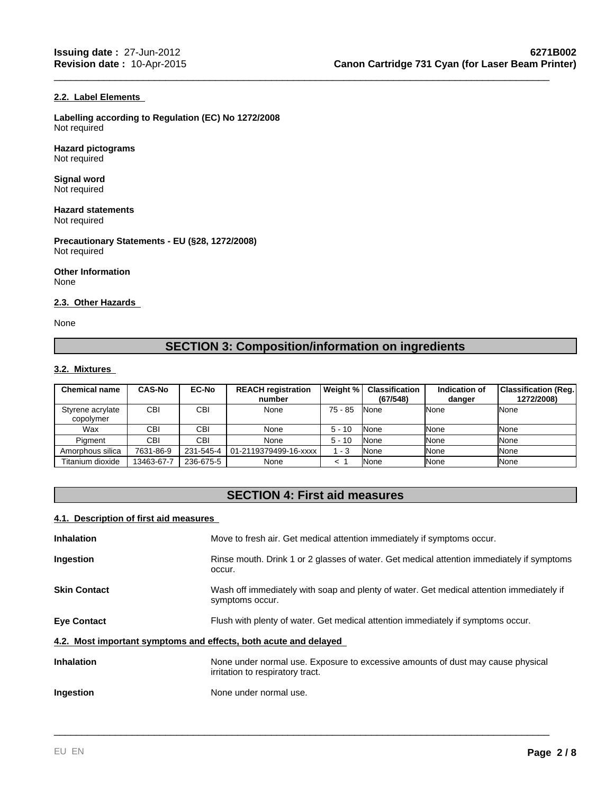## **2.2. Label Elements**

**Labelling according to Regulation (EC) No 1272/2008** Not required

**Hazard pictograms** Not required

**Signal word** Not required

**Hazard statements** Not required

**Precautionary Statements - EU (§28, 1272/2008)** Not required

**Other Information** None

#### **2.3. Other Hazards**

None

# **SECTION 3: Composition/information on ingredients**

\_\_\_\_\_\_\_\_\_\_\_\_\_\_\_\_\_\_\_\_\_\_\_\_\_\_\_\_\_\_\_\_\_\_\_\_\_\_\_\_\_\_\_\_\_\_\_\_\_\_\_\_\_\_\_\_\_\_\_\_\_\_\_\_\_\_\_\_\_\_\_\_\_\_\_\_\_\_\_\_\_\_\_\_\_\_\_\_\_

## **3.2. Mixtures**

| <b>Chemical name</b>          | <b>CAS-No</b> | <b>EC-No</b> | <b>REACH registration</b><br>number | Weight %  | <b>Classification</b><br>(67/548) | Indication of<br>danger | <b>Classification (Reg.)</b><br>1272/2008) |
|-------------------------------|---------------|--------------|-------------------------------------|-----------|-----------------------------------|-------------------------|--------------------------------------------|
| Styrene acrylate<br>copolymer | CBI           | <b>CBI</b>   | None                                | $75 - 85$ | None                              | <b>INone</b>            | None                                       |
| Wax                           | CBI           | CBI          | None                                | $5 - 10$  | None                              | <b>INone</b>            | None                                       |
| Piament                       | <b>CBI</b>    | <b>CBI</b>   | None                                | $5 - 10$  | None                              | <b>INone</b>            | None                                       |
| Amorphous silica              | 7631-86-9     | 231-545-4    | 01-2119379499-16-xxxx               | 1 - 3     | None                              | <b>None</b>             | None                                       |
| Titanium dioxide              | 13463-67-7    | 236-675-5    | None                                |           | None                              | <b>None</b>             | None                                       |

# **SECTION 4: First aid measures**

## **4.1. Description of first aid measures**

| <b>Inhalation</b>                                                | Move to fresh air. Get medical attention immediately if symptoms occur.                                             |
|------------------------------------------------------------------|---------------------------------------------------------------------------------------------------------------------|
| <b>Ingestion</b>                                                 | Rinse mouth. Drink 1 or 2 glasses of water. Get medical attention immediately if symptoms<br>occur.                 |
| <b>Skin Contact</b>                                              | Wash off immediately with soap and plenty of water. Get medical attention immediately if<br>symptoms occur.         |
| <b>Eye Contact</b>                                               | Flush with plenty of water. Get medical attention immediately if symptoms occur.                                    |
| 4.2. Most important symptoms and effects, both acute and delayed |                                                                                                                     |
| <b>Inhalation</b>                                                | None under normal use. Exposure to excessive amounts of dust may cause physical<br>irritation to respiratory tract. |
| <b>Ingestion</b>                                                 | None under normal use.                                                                                              |
|                                                                  |                                                                                                                     |

\_\_\_\_\_\_\_\_\_\_\_\_\_\_\_\_\_\_\_\_\_\_\_\_\_\_\_\_\_\_\_\_\_\_\_\_\_\_\_\_\_\_\_\_\_\_\_\_\_\_\_\_\_\_\_\_\_\_\_\_\_\_\_\_\_\_\_\_\_\_\_\_\_\_\_\_\_\_\_\_\_\_\_\_\_\_\_\_\_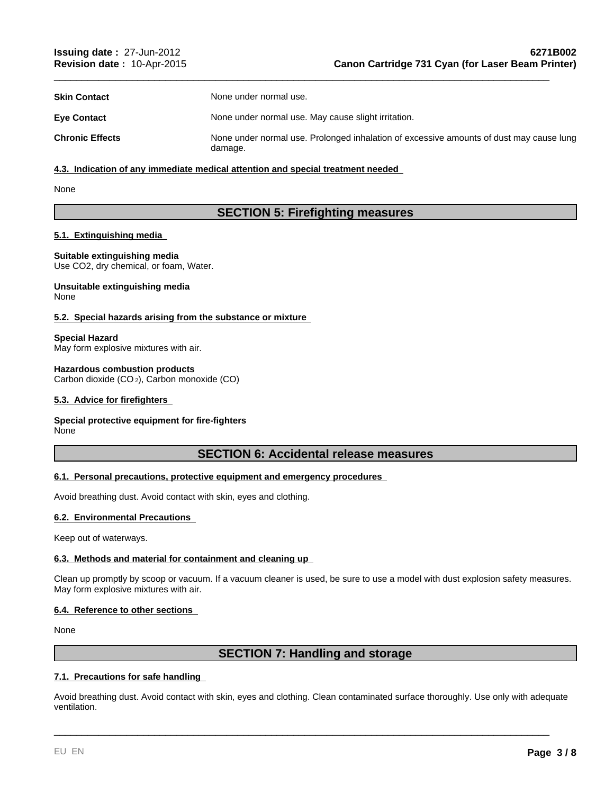| <b>Skin Contact</b>    | None under normal use.                                                                             |
|------------------------|----------------------------------------------------------------------------------------------------|
| <b>Eve Contact</b>     | None under normal use. May cause slight irritation.                                                |
| <b>Chronic Effects</b> | None under normal use. Prolonged inhalation of excessive amounts of dust may cause lung<br>damage. |

\_\_\_\_\_\_\_\_\_\_\_\_\_\_\_\_\_\_\_\_\_\_\_\_\_\_\_\_\_\_\_\_\_\_\_\_\_\_\_\_\_\_\_\_\_\_\_\_\_\_\_\_\_\_\_\_\_\_\_\_\_\_\_\_\_\_\_\_\_\_\_\_\_\_\_\_\_\_\_\_\_\_\_\_\_\_\_\_\_

## **4.3. Indication of any immediate medical attention and special treatment needed**

None

# **SECTION 5: Firefighting measures**

## **5.1. Extinguishing media**

**Suitable extinguishing media** Use CO2, dry chemical, or foam, Water.

**Unsuitable extinguishing media** None

## **5.2. Special hazards arising from the substance or mixture**

**Special Hazard** May form explosive mixtures with air.

**Hazardous combustion products** Carbon dioxide (CO 2), Carbon monoxide (CO)

## **5.3. Advice for firefighters**

#### **Special protective equipment for fire-fighters** None

## **SECTION 6: Accidental release measures**

## **6.1. Personal precautions, protective equipment and emergency procedures**

Avoid breathing dust. Avoid contact with skin, eyes and clothing.

## **6.2. Environmental Precautions**

Keep out of waterways.

## **6.3. Methods and material for containment and cleaning up**

Clean up promptly by scoop or vacuum. If a vacuum cleaner is used, be sure to use a model with dust explosion safety measures. May form explosive mixtures with air.

## **6.4. Reference to other sections**

None

## **SECTION 7: Handling and storage**

## **7.1. Precautions for safe handling**

Avoid breathing dust. Avoid contact with skin, eyes and clothing. Clean contaminated surface thoroughly. Use only with adequate ventilation.

\_\_\_\_\_\_\_\_\_\_\_\_\_\_\_\_\_\_\_\_\_\_\_\_\_\_\_\_\_\_\_\_\_\_\_\_\_\_\_\_\_\_\_\_\_\_\_\_\_\_\_\_\_\_\_\_\_\_\_\_\_\_\_\_\_\_\_\_\_\_\_\_\_\_\_\_\_\_\_\_\_\_\_\_\_\_\_\_\_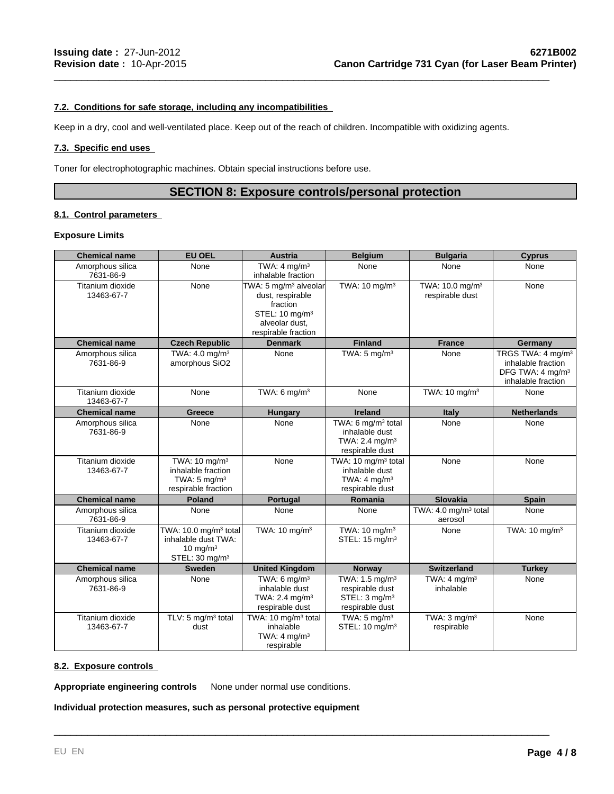## **7.2. Conditions for safe storage, including any incompatibilities**

Keep in a dry, cool and well-ventilated place. Keep out of the reach of children. Incompatible with oxidizing agents.

## **7.3. Specific end uses**

Toner for electrophotographic machines. Obtain special instructions before use.

# **SECTION 8: Exposure controls/personal protection**

\_\_\_\_\_\_\_\_\_\_\_\_\_\_\_\_\_\_\_\_\_\_\_\_\_\_\_\_\_\_\_\_\_\_\_\_\_\_\_\_\_\_\_\_\_\_\_\_\_\_\_\_\_\_\_\_\_\_\_\_\_\_\_\_\_\_\_\_\_\_\_\_\_\_\_\_\_\_\_\_\_\_\_\_\_\_\_\_\_

## **8.1. Control parameters**

#### **Exposure Limits**

| <b>Chemical name</b>           | <b>EU OEL</b>                                                                                         | <b>Austria</b>                                                                                                                           | <b>Belgium</b>                                                                                    | <b>Bulgaria</b>                                | <b>Cyprus</b>                                                                                             |
|--------------------------------|-------------------------------------------------------------------------------------------------------|------------------------------------------------------------------------------------------------------------------------------------------|---------------------------------------------------------------------------------------------------|------------------------------------------------|-----------------------------------------------------------------------------------------------------------|
| Amorphous silica<br>7631-86-9  | None                                                                                                  | TWA: $4 \text{ mq/m}^3$<br>inhalable fraction                                                                                            | None                                                                                              | None                                           | None                                                                                                      |
| Titanium dioxide<br>13463-67-7 | None                                                                                                  | TWA: 5 mg/m <sup>3</sup> alveolar<br>dust, respirable<br>fraction<br>STEL: 10 mg/m <sup>3</sup><br>alveolar dust,<br>respirable fraction | TWA: $10 \text{ mg/m}^3$                                                                          | TWA: 10.0 mg/m <sup>3</sup><br>respirable dust | None                                                                                                      |
| <b>Chemical name</b>           | <b>Czech Republic</b>                                                                                 | <b>Denmark</b>                                                                                                                           | <b>Finland</b>                                                                                    | <b>France</b>                                  | Germany                                                                                                   |
| Amorphous silica<br>7631-86-9  | TWA: 4.0 mg/m <sup>3</sup><br>amorphous SiO2                                                          | None                                                                                                                                     | TWA: $5 \text{ mg/m}^3$                                                                           | None                                           | TRGS TWA: 4 mg/m <sup>3</sup><br>inhalable fraction<br>DFG TWA: 4 mg/m <sup>3</sup><br>inhalable fraction |
| Titanium dioxide<br>13463-67-7 | None                                                                                                  | TWA: $6 \text{ mg/m}^3$                                                                                                                  | None                                                                                              | TWA: 10 mg/m <sup>3</sup>                      | None                                                                                                      |
| <b>Chemical name</b>           | Greece                                                                                                | <b>Hungary</b>                                                                                                                           | <b>Ireland</b>                                                                                    | Italy                                          | <b>Netherlands</b>                                                                                        |
| Amorphous silica<br>7631-86-9  | None                                                                                                  | None                                                                                                                                     | TWA: 6 mg/m <sup>3</sup> total<br>inhalable dust<br>TWA: 2.4 mg/m <sup>3</sup><br>respirable dust | None                                           | None                                                                                                      |
| Titanium dioxide<br>13463-67-7 | TWA: $10 \text{ mg/m}^3$<br>inhalable fraction<br>TWA: $5 \text{ mg/m}^3$<br>respirable fraction      | None                                                                                                                                     | TWA: 10 mg/m <sup>3</sup> total<br>inhalable dust<br>TWA: $4 \text{ mg/m}^3$<br>respirable dust   | None                                           | None                                                                                                      |
| <b>Chemical name</b>           | <b>Poland</b>                                                                                         | <b>Portugal</b>                                                                                                                          | Romania                                                                                           | <b>Slovakia</b>                                | <b>Spain</b>                                                                                              |
| Amorphous silica<br>7631-86-9  | None                                                                                                  | None                                                                                                                                     | None                                                                                              | TWA: 4.0 mg/m <sup>3</sup> total<br>aerosol    | None                                                                                                      |
| Titanium dioxide<br>13463-67-7 | TWA: 10.0 mg/m <sup>3</sup> total<br>inhalable dust TWA:<br>10 mg/m $3$<br>STEL: 30 mg/m <sup>3</sup> | TWA: 10 mg/m <sup>3</sup>                                                                                                                | TWA: $10 \text{ mg/m}^3$<br>STEL: 15 mg/m <sup>3</sup>                                            | None                                           | TWA: 10 mg/m <sup>3</sup>                                                                                 |
| <b>Chemical name</b>           | <b>Sweden</b>                                                                                         | <b>United Kingdom</b>                                                                                                                    | <b>Norway</b>                                                                                     | <b>Switzerland</b>                             | <b>Turkey</b>                                                                                             |
| Amorphous silica<br>7631-86-9  | None                                                                                                  | TWA: $6 \text{ mg/m}^3$<br>inhalable dust<br>TWA: 2.4 mg/m <sup>3</sup><br>respirable dust                                               | TWA: 1.5 mg/m <sup>3</sup><br>respirable dust<br>STEL: 3 mg/m <sup>3</sup><br>respirable dust     | TWA: 4 mg/m <sup>3</sup><br>inhalable          | None                                                                                                      |
| Titanium dioxide<br>13463-67-7 | TLV: 5 mg/m <sup>3</sup> total<br>dust                                                                | TWA: 10 mg/m <sup>3</sup> total<br>inhalable<br>TWA: $4 \text{ mq/m}^3$<br>respirable                                                    | TWA: $5 \text{ mg/m}^3$<br>STEL: 10 mg/m <sup>3</sup>                                             | TWA: $3$ mg/m $3$<br>respirable                | None                                                                                                      |

\_\_\_\_\_\_\_\_\_\_\_\_\_\_\_\_\_\_\_\_\_\_\_\_\_\_\_\_\_\_\_\_\_\_\_\_\_\_\_\_\_\_\_\_\_\_\_\_\_\_\_\_\_\_\_\_\_\_\_\_\_\_\_\_\_\_\_\_\_\_\_\_\_\_\_\_\_\_\_\_\_\_\_\_\_\_\_\_\_

## **8.2. Exposure controls**

**Appropriate engineering controls** None under normal use conditions.

**Individual protection measures, such as personal protective equipment**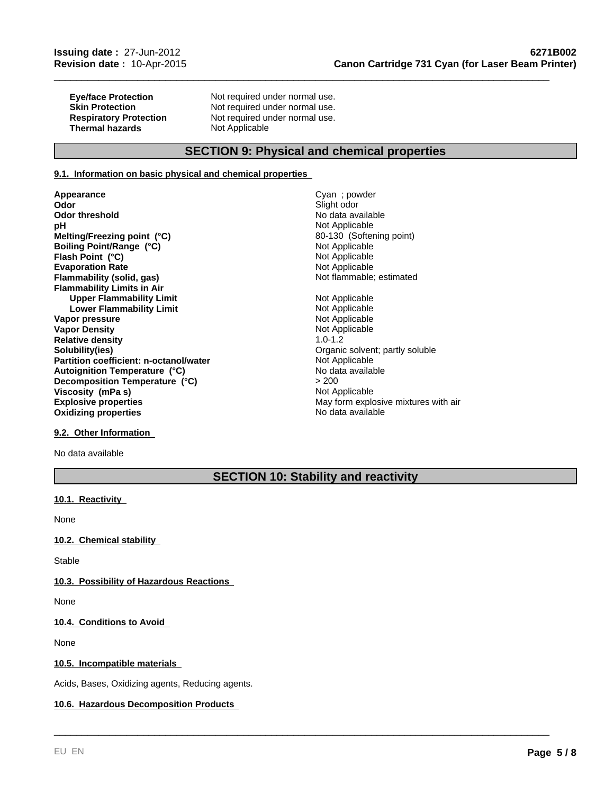**Thermal hazards** 

**Eye/face Protection Not required under normal use.**<br> **Skin Protection Not required under normal use. Skin Protection Not required under normal use.**<br> **Respiratory Protection Not required under normal use.** Not required under normal use.<br>Not Applicable

# **SECTION 9: Physical and chemical properties**

## **9.1. Information on basic physical and chemical properties**

**Appearance** Cyan ; powder<br> **Cyan ; powder**<br> **Cyan ; powder Odor threshold pH** Not Applicable **Evaporation Rate**<br> **Example:** Not Applicable<br> **Elammability (solid, gas)**<br> **Example:** Not flammable; estimated **Flammability (solid, gas) Flammability Limits in Air Upper Flammability Limit**<br> **Lower Flammability Limit**<br> **Lower Flammability Limit Lower Flammability Limit Not Applicable**<br> **Not Applicable**<br>
Not Applicable **Vapor pressure Vapor Density Not Applicable** Not Applicable **Relative density** 1.0-1.2 **Solubility(ies)**<br> **Partition coefficient: n-octanol/water**<br> **Partition coefficient: n-octanol/water**<br> **Community** Communicable **Partition coefficient: n-octanol/water** Not Applicable Not Applicable<br> **Autoignition Temperature (°C)** No data available **Explosive properties**<br> **Explosive properties**<br> **Oxidizing properties**<br>
May form explosive mixtures with air<br>
No data available **Oxidizing properties Melting/Freezing point (°C)** 80-130 (Softening point) **Boiling Point/Range (°C)**<br> **Political Point (°C)**<br> **Point (°C)**<br> **Point (°C)**<br> **Point (°C)**<br> **Point Applicable Flash Point (°C) Autoignition Temperature (°C) Decomposition Temperature (°C) Viscosity (mPa s)** Not Applicable

Slight odor<br>No data available

\_\_\_\_\_\_\_\_\_\_\_\_\_\_\_\_\_\_\_\_\_\_\_\_\_\_\_\_\_\_\_\_\_\_\_\_\_\_\_\_\_\_\_\_\_\_\_\_\_\_\_\_\_\_\_\_\_\_\_\_\_\_\_\_\_\_\_\_\_\_\_\_\_\_\_\_\_\_\_\_\_\_\_\_\_\_\_\_\_

> 200

## **9.2. Other Information**

No data available

# **SECTION 10: Stability and reactivity**

\_\_\_\_\_\_\_\_\_\_\_\_\_\_\_\_\_\_\_\_\_\_\_\_\_\_\_\_\_\_\_\_\_\_\_\_\_\_\_\_\_\_\_\_\_\_\_\_\_\_\_\_\_\_\_\_\_\_\_\_\_\_\_\_\_\_\_\_\_\_\_\_\_\_\_\_\_\_\_\_\_\_\_\_\_\_\_\_\_

## **10.1. Reactivity**

None

## **10.2. Chemical stability**

**Stable** 

## **10.3. Possibility of Hazardous Reactions**

None

## **10.4. Conditions to Avoid**

None

## **10.5. Incompatible materials**

Acids, Bases, Oxidizing agents, Reducing agents.

## **10.6. Hazardous Decomposition Products**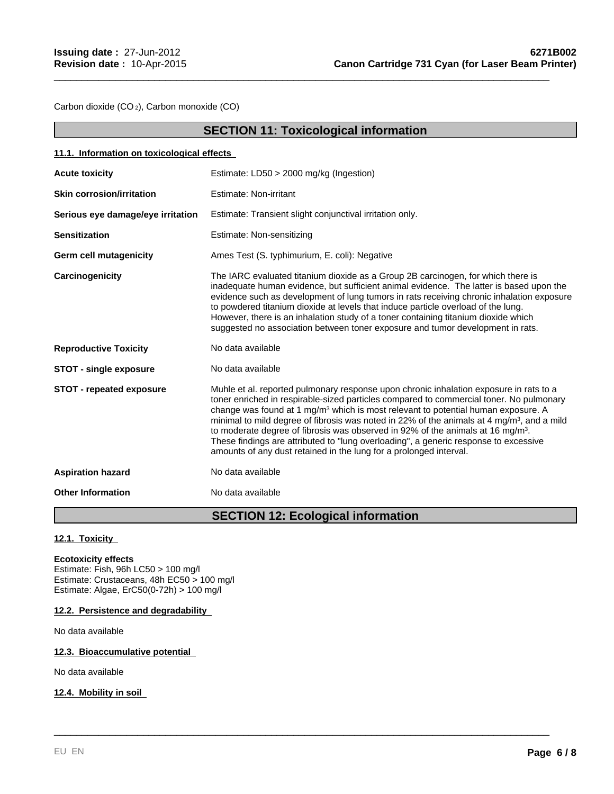Carbon dioxide (CO 2), Carbon monoxide (CO)

|                                            | <b>SECTION 11: Toxicological information</b>                                                                                                                                                                                                                                                                                                                                                                                                                                                                                                                                                                                                              |
|--------------------------------------------|-----------------------------------------------------------------------------------------------------------------------------------------------------------------------------------------------------------------------------------------------------------------------------------------------------------------------------------------------------------------------------------------------------------------------------------------------------------------------------------------------------------------------------------------------------------------------------------------------------------------------------------------------------------|
| 11.1. Information on toxicological effects |                                                                                                                                                                                                                                                                                                                                                                                                                                                                                                                                                                                                                                                           |
| <b>Acute toxicity</b>                      | Estimate: LD50 > 2000 mg/kg (Ingestion)                                                                                                                                                                                                                                                                                                                                                                                                                                                                                                                                                                                                                   |
| <b>Skin corrosion/irritation</b>           | <b>Estimate: Non-irritant</b>                                                                                                                                                                                                                                                                                                                                                                                                                                                                                                                                                                                                                             |
| Serious eye damage/eye irritation          | Estimate: Transient slight conjunctival irritation only.                                                                                                                                                                                                                                                                                                                                                                                                                                                                                                                                                                                                  |
| <b>Sensitization</b>                       | Estimate: Non-sensitizing                                                                                                                                                                                                                                                                                                                                                                                                                                                                                                                                                                                                                                 |
| Germ cell mutagenicity                     | Ames Test (S. typhimurium, E. coli): Negative                                                                                                                                                                                                                                                                                                                                                                                                                                                                                                                                                                                                             |
| Carcinogenicity                            | The IARC evaluated titanium dioxide as a Group 2B carcinogen, for which there is<br>inadequate human evidence, but sufficient animal evidence. The latter is based upon the<br>evidence such as development of lung tumors in rats receiving chronic inhalation exposure<br>to powdered titanium dioxide at levels that induce particle overload of the lung.<br>However, there is an inhalation study of a toner containing titanium dioxide which<br>suggested no association between toner exposure and tumor development in rats.                                                                                                                     |
| <b>Reproductive Toxicity</b>               | No data available                                                                                                                                                                                                                                                                                                                                                                                                                                                                                                                                                                                                                                         |
| <b>STOT - single exposure</b>              | No data available                                                                                                                                                                                                                                                                                                                                                                                                                                                                                                                                                                                                                                         |
| <b>STOT - repeated exposure</b>            | Muhle et al. reported pulmonary response upon chronic inhalation exposure in rats to a<br>toner enriched in respirable-sized particles compared to commercial toner. No pulmonary<br>change was found at 1 mg/m <sup>3</sup> which is most relevant to potential human exposure. A<br>minimal to mild degree of fibrosis was noted in 22% of the animals at 4 mg/m <sup>3</sup> , and a mild<br>to moderate degree of fibrosis was observed in 92% of the animals at 16 mg/m <sup>3</sup> .<br>These findings are attributed to "lung overloading", a generic response to excessive<br>amounts of any dust retained in the lung for a prolonged interval. |
| <b>Aspiration hazard</b>                   | No data available                                                                                                                                                                                                                                                                                                                                                                                                                                                                                                                                                                                                                                         |
| <b>Other Information</b>                   | No data available                                                                                                                                                                                                                                                                                                                                                                                                                                                                                                                                                                                                                                         |
|                                            |                                                                                                                                                                                                                                                                                                                                                                                                                                                                                                                                                                                                                                                           |

\_\_\_\_\_\_\_\_\_\_\_\_\_\_\_\_\_\_\_\_\_\_\_\_\_\_\_\_\_\_\_\_\_\_\_\_\_\_\_\_\_\_\_\_\_\_\_\_\_\_\_\_\_\_\_\_\_\_\_\_\_\_\_\_\_\_\_\_\_\_\_\_\_\_\_\_\_\_\_\_\_\_\_\_\_\_\_\_\_

# **SECTION 12: Ecological information**

\_\_\_\_\_\_\_\_\_\_\_\_\_\_\_\_\_\_\_\_\_\_\_\_\_\_\_\_\_\_\_\_\_\_\_\_\_\_\_\_\_\_\_\_\_\_\_\_\_\_\_\_\_\_\_\_\_\_\_\_\_\_\_\_\_\_\_\_\_\_\_\_\_\_\_\_\_\_\_\_\_\_\_\_\_\_\_\_\_

## **12.1. Toxicity**

# **Ecotoxicity effects**

Estimate: Fish, 96h LC50 > 100 mg/l Estimate: Crustaceans, 48h EC50 > 100 mg/l Estimate: Algae, ErC50(0-72h) > 100 mg/l

## **12.2. Persistence and degradability**

No data available

## **12.3. Bioaccumulative potential**

No data available

## **12.4. Mobility in soil**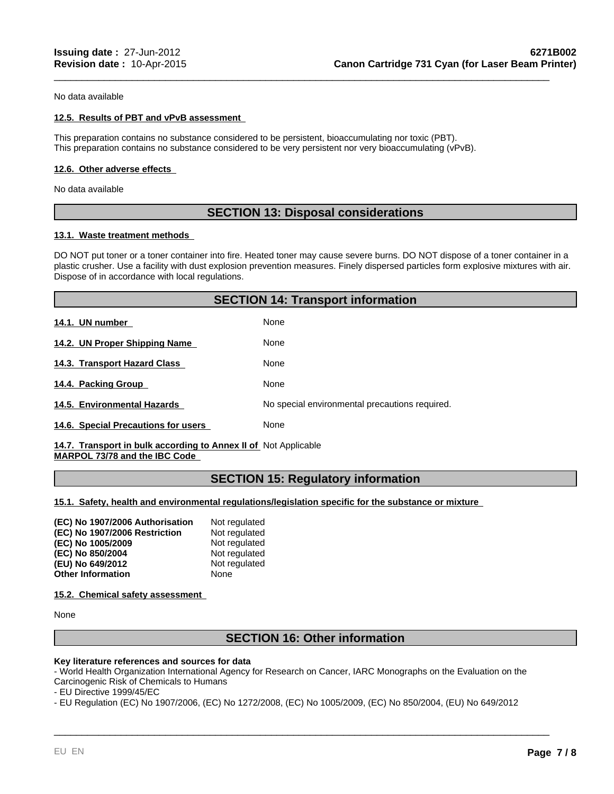No data available

## **12.5. Results of PBT and vPvB assessment**

This preparation contains no substance considered to be persistent, bioaccumulating nor toxic (PBT). This preparation contains no substance considered to be very persistent nor very bioaccumulating (vPvB).

## **12.6. Other adverse effects**

No data available

# **SECTION 13: Disposal considerations**

\_\_\_\_\_\_\_\_\_\_\_\_\_\_\_\_\_\_\_\_\_\_\_\_\_\_\_\_\_\_\_\_\_\_\_\_\_\_\_\_\_\_\_\_\_\_\_\_\_\_\_\_\_\_\_\_\_\_\_\_\_\_\_\_\_\_\_\_\_\_\_\_\_\_\_\_\_\_\_\_\_\_\_\_\_\_\_\_\_

## **13.1. Waste treatment methods**

DO NOT put toner or a toner container into fire. Heated toner may cause severe burns. DO NOT dispose of a toner container in a plastic crusher. Use a facility with dust explosion prevention measures. Finely dispersed particles form explosive mixtures with air. Dispose of in accordance with local regulations.

|                                     | <b>SECTION 14: Transport information</b>       |  |
|-------------------------------------|------------------------------------------------|--|
| 14.1. UN number                     | None                                           |  |
| 14.2. UN Proper Shipping Name       | None                                           |  |
| 14.3. Transport Hazard Class        | None                                           |  |
| 14.4. Packing Group                 | None                                           |  |
| 14.5. Environmental Hazards         | No special environmental precautions required. |  |
| 14.6. Special Precautions for users | None                                           |  |

14.7. Transport in bulk according to Annex II of Not Applicable **MARPOL 73/78 and the IBC Code** 

## **SECTION 15: Regulatory information**

**15.1. Safety, health and environmental regulations/legislation specific for the substance or mixture** 

| Not regulated |
|---------------|
| Not regulated |
| Not regulated |
| Not regulated |
| Not regulated |
| None          |
|               |

**15.2. Chemical safety assessment** 

None

## **SECTION 16: Other information**

\_\_\_\_\_\_\_\_\_\_\_\_\_\_\_\_\_\_\_\_\_\_\_\_\_\_\_\_\_\_\_\_\_\_\_\_\_\_\_\_\_\_\_\_\_\_\_\_\_\_\_\_\_\_\_\_\_\_\_\_\_\_\_\_\_\_\_\_\_\_\_\_\_\_\_\_\_\_\_\_\_\_\_\_\_\_\_\_\_

## **Key literature references and sources for data**

- World Health Organization International Agency for Research on Cancer, IARC Monographs on the Evaluation on the Carcinogenic Risk of Chemicals to Humans

- EU Directive 1999/45/EC

- EU Regulation (EC) No 1907/2006, (EC) No 1272/2008, (EC) No 1005/2009, (EC) No 850/2004, (EU) No 649/2012